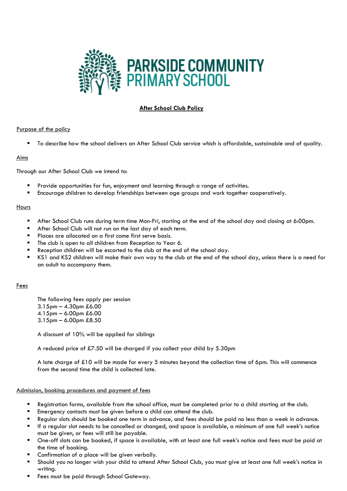

# **After School Club Policy**

#### Purpose of the policy

To describe how the school delivers an After School Club service which is affordable, sustainable and of quality.

#### Aims

Through our After School Club we intend to:

- Provide opportunities for fun, enjoyment and learning through a range of activities.
- Encourage children to develop friendships between age groups and work together cooperatively.

#### **Hours**

- After School Club runs during term time Mon-Fri, starting at the end of the school day and closing at 6:00pm.
- After School Club will not run on the last day of each term.
- **Places are allocated on a first come first serve basis.**
- The club is open to all children from Reception to Year 6.
- Reception children will be escorted to the club at the end of the school day.
- KS1 and KS2 children will make their own way to the club at the end of the school day, unless there is a need for an adult to accompany them.

#### Fees

The following fees apply per session 3.15pm – 4.30pm £6.00 4.15pm – 6.00pm £6.00 3.15pm – 6.00pm £8.50

A discount of 10% will be applied for siblings

A reduced price of £7.50 will be charged if you collect your child by 5.30pm

A late charge of £10 will be made for every 5 minutes beyond the collection time of 6pm. This will commence from the second time the child is collected late.

#### Admission, booking procedures and payment of fees

- Registration forms, available from the school office, must be completed prior to a child starting at the club.
- **Emergency contacts must be given before a child can attend the club.**
- Regular slots should be booked one term in advance, and fees should be paid no less than a week in advance.
- If a regular slot needs to be cancelled or changed, and space is available, a minimum of one full week's notice must be given, or fees will still be payable.
- One-off slots can be booked, if space is available, with at least one full week's notice and fees must be paid at the time of booking.
- Confirmation of a place will be given verbally.
- Should you no longer wish your child to attend After School Club, you must give at least one full week's notice in writing.
- Fees must be paid through School Gateway.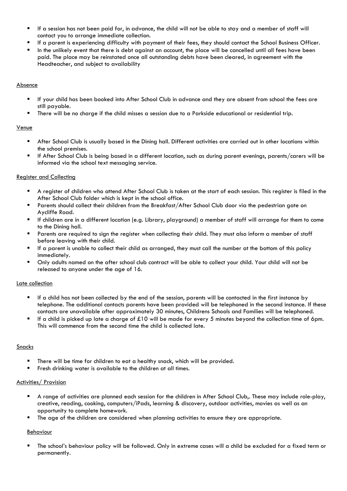- If a session has not been paid for, in advance, the child will not be able to stay and a member of staff will contact you to arrange immediate collection.
- If a parent is experiencing difficulty with payment of their fees, they should contact the School Business Officer.
- In the unlikely event that there is debt against an account, the place will be cancelled until all fees have been paid. The place may be reinstated once all outstanding debts have been cleared, in agreement with the Headteacher, and subject to availability

## Absence

- If your child has been booked into After School Club in advance and they are absent from school the fees are still payable.
- There will be no charge if the child misses a session due to a Parkside educational or residential trip.

# Venue

- After School Club is usually based in the Dining hall. Different activities are carried out in other locations within the school premises.
- If After School Club is being based in a different location, such as during parent evenings, parents/carers will be informed via the school text messaging service.

# Register and Collecting

- A register of children who attend After School Club is taken at the start of each session. This register is filed in the After School Club folder which is kept in the school office.
- Parents should collect their children from the Breakfast/After School Club door via the pedestrian gate on Aycliffe Road.
- If children are in a different location (e.g. Library, playground) a member of staff will arrange for them to come to the Dining hall.
- Parents are required to sign the register when collecting their child. They must also inform a member of staff before leaving with their child.
- If a parent is unable to collect their child as arranged, they must call the number at the bottom of this policy immediately.
- Only adults named on the after school club contract will be able to collect your child. Your child will not be released to anyone under the age of 16.

## Late collection

- If a child has not been collected by the end of the session, parents will be contacted in the first instance by telephone. The additional contacts parents have been provided will be telephoned in the second instance. If these contacts are unavailable after approximately 30 minutes, Childrens Schools and Families will be telephoned.
- If a child is picked up late a charge of £10 will be made for every 5 minutes beyond the collection time of 6pm. This will commence from the second time the child is collected late.

## Snacks

- There will be time for children to eat a healthy snack, which will be provided.
- **Fight** Fresh drinking water is available to the children at all times.

## Activities/ Provision

- A range of activities are planned each session for the children in After School Club,. These may include role-play, creative, reading, cooking, computers/iPads, learning & discovery, outdoor activities, movies as well as an opportunity to complete homework.
- The age of the children are considered when planning activities to ensure they are appropriate.

## Behaviour

 The school's behaviour policy will be followed. Only in extreme cases will a child be excluded for a fixed term or permanently.